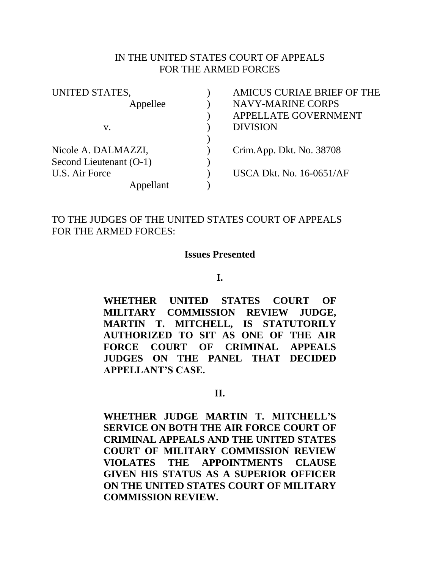### IN THE UNITED STATES COURT OF APPEALS FOR THE ARMED FORCES

| UNITED STATES,          | AMICUS CURIAE BRIEF OF THE      |
|-------------------------|---------------------------------|
| Appellee                | <b>NAVY-MARINE CORPS</b>        |
|                         | APPELLATE GOVERNMENT            |
| V.                      | <b>DIVISION</b>                 |
|                         |                                 |
| Nicole A. DALMAZZI,     | Crim.App. Dkt. No. 38708        |
| Second Lieutenant (O-1) |                                 |
| U.S. Air Force          | <b>USCA Dkt. No. 16-0651/AF</b> |
| pellant                 |                                 |

# TO THE JUDGES OF THE UNITED STATES COURT OF APPEALS FOR THE ARMED FORCES:

#### **Issues Presented**

#### **I.**

**WHETHER UNITED STATES COURT OF MILITARY COMMISSION REVIEW JUDGE, MARTIN T. MITCHELL, IS STATUTORILY AUTHORIZED TO SIT AS ONE OF THE AIR FORCE COURT OF CRIMINAL APPEALS JUDGES ON THE PANEL THAT DECIDED APPELLANT'S CASE.**

#### **II.**

**WHETHER JUDGE MARTIN T. MITCHELL'S SERVICE ON BOTH THE AIR FORCE COURT OF CRIMINAL APPEALS AND THE UNITED STATES COURT OF MILITARY COMMISSION REVIEW VIOLATES THE APPOINTMENTS CLAUSE GIVEN HIS STATUS AS A SUPERIOR OFFICER ON THE UNITED STATES COURT OF MILITARY COMMISSION REVIEW.**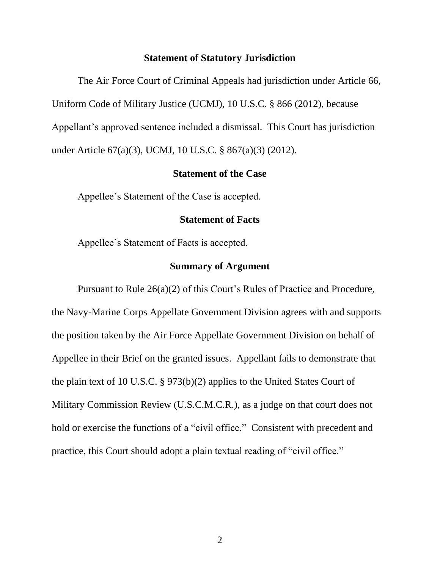#### **Statement of Statutory Jurisdiction**

The Air Force Court of Criminal Appeals had jurisdiction under Article 66, Uniform Code of Military Justice (UCMJ), 10 U.S.C. § 866 (2012), because Appellant's approved sentence included a dismissal. This Court has jurisdiction under Article 67(a)(3), UCMJ, 10 U.S.C. § 867(a)(3) (2012).

#### **Statement of the Case**

Appellee's Statement of the Case is accepted.

#### **Statement of Facts**

Appellee's Statement of Facts is accepted.

## **Summary of Argument**

Pursuant to Rule 26(a)(2) of this Court's Rules of Practice and Procedure, the Navy-Marine Corps Appellate Government Division agrees with and supports the position taken by the Air Force Appellate Government Division on behalf of Appellee in their Brief on the granted issues. Appellant fails to demonstrate that the plain text of 10 U.S.C. § 973(b)(2) applies to the United States Court of Military Commission Review (U.S.C.M.C.R.), as a judge on that court does not hold or exercise the functions of a "civil office." Consistent with precedent and practice, this Court should adopt a plain textual reading of "civil office."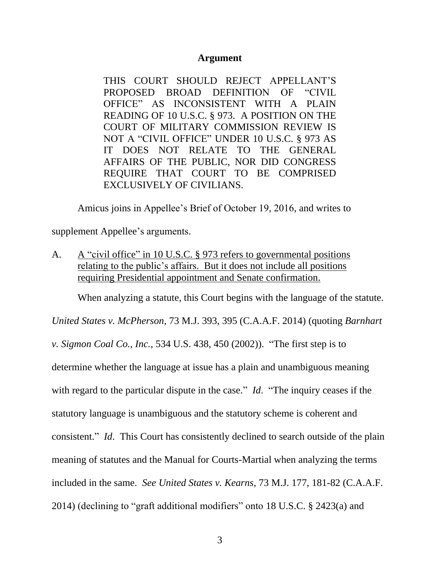#### **Argument**

THIS COURT SHOULD REJECT APPELLANT'S PROPOSED BROAD DEFINITION OF "CIVIL OFFICE" AS INCONSISTENT WITH A PLAIN READING OF 10 U.S.C. § 973. A POSITION ON THE COURT OF MILITARY COMMISSION REVIEW IS NOT A "CIVIL OFFICE" UNDER 10 U.S.C. § 973 AS IT DOES NOT RELATE TO THE GENERAL AFFAIRS OF THE PUBLIC, NOR DID CONGRESS REQUIRE THAT COURT TO BE COMPRISED EXCLUSIVELY OF CIVILIANS.

Amicus joins in Appellee's Brief of October 19, 2016, and writes to

supplement Appellee's arguments.

A. A "civil office" in 10 U.S.C. § 973 refers to governmental positions relating to the public's affairs. But it does not include all positions requiring Presidential appointment and Senate confirmation.

When analyzing a statute, this Court begins with the language of the statute.

*United States v. McPherson*, 73 M.J. 393, 395 (C.A.A.F. 2014) (quoting *Barnhart* 

*v. Sigmon Coal Co., Inc.*, 534 U.S. 438, 450 (2002)). "The first step is to

determine whether the language at issue has a plain and unambiguous meaning

with regard to the particular dispute in the case." *Id.* "The inquiry ceases if the

statutory language is unambiguous and the statutory scheme is coherent and

consistent." *Id*. This Court has consistently declined to search outside of the plain

meaning of statutes and the Manual for Courts-Martial when analyzing the terms

included in the same. *See United States v. Kearns*, 73 M.J. 177, 181-82 (C.A.A.F.

2014) (declining to "graft additional modifiers" onto 18 U.S.C. § 2423(a) and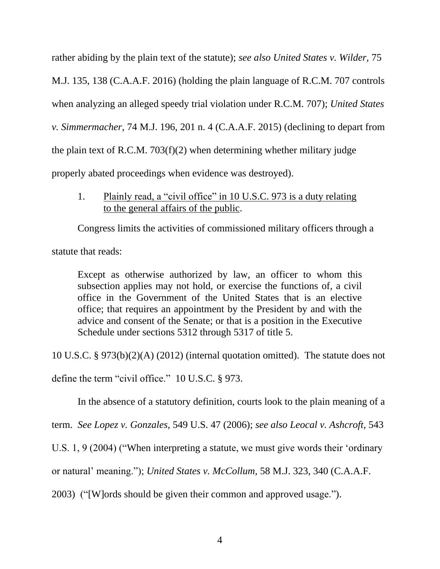rather abiding by the plain text of the statute); *see also United States v. Wilder,* 75

M.J. 135, 138 (C.A.A.F. 2016) (holding the plain language of R.C.M. 707 controls

when analyzing an alleged speedy trial violation under R.C.M. 707); *United States* 

*v. Simmermacher*, 74 M.J. 196, 201 n. 4 (C.A.A.F. 2015) (declining to depart from

the plain text of R.C.M. 703(f)(2) when determining whether military judge

properly abated proceedings when evidence was destroyed).

1. Plainly read, a "civil office" in 10 U.S.C. 973 is a duty relating to the general affairs of the public.

Congress limits the activities of commissioned military officers through a

statute that reads:

Except as otherwise authorized by law, an officer to whom this subsection applies may not hold, or exercise the functions of, a civil office in the Government of the United States that is an elective office; that requires an appointment by the President by and with the advice and consent of the Senate; or that is a position in the Executive Schedule under sections 5312 through 5317 of title 5.

10 U.S.C. § 973(b)(2)(A) (2012) (internal quotation omitted). The statute does not

define the term "civil office." 10 U.S.C. § 973.

In the absence of a statutory definition, courts look to the plain meaning of a

term. *See Lopez v. Gonzales*, 549 U.S. 47 (2006); *see also Leocal v. Ashcroft*, 543

U.S. 1, 9 (2004) ("When interpreting a statute, we must give words their 'ordinary

or natural' meaning."); *United States v. McCollum*, 58 M.J. 323, 340 (C.A.A.F.

2003) ("[W]ords should be given their common and approved usage.").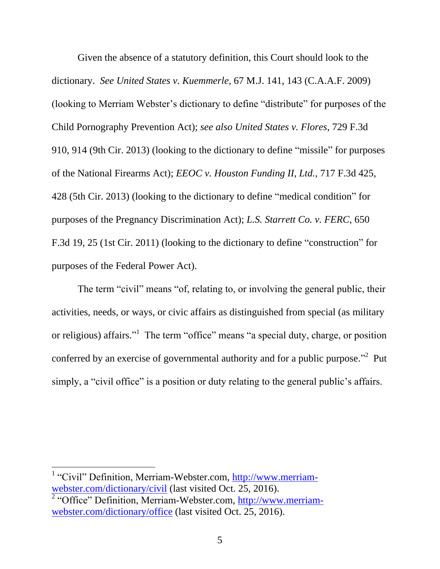Given the absence of a statutory definition, this Court should look to the dictionary. *See United States v. Kuemmerle*, 67 M.J. 141, 143 (C.A.A.F. 2009) (looking to Merriam Webster's dictionary to define "distribute" for purposes of the Child Pornography Prevention Act); *see also United States v. Flores*, 729 F.3d 910, 914 (9th Cir. 2013) (looking to the dictionary to define "missile" for purposes of the National Firearms Act); *EEOC v. Houston Funding II, Ltd.*, 717 F.3d 425, 428 (5th Cir. 2013) (looking to the dictionary to define "medical condition" for purposes of the Pregnancy Discrimination Act); *L.S. Starrett Co. v. FERC*, 650 F.3d 19, 25 (1st Cir. 2011) (looking to the dictionary to define "construction" for purposes of the Federal Power Act).

The term "civil" means "of, relating to, or involving the general public, their activities, needs, or ways, or civic affairs as distinguished from special (as military or religious) affairs."<sup>1</sup> The term "office" means "a special duty, charge, or position conferred by an exercise of governmental authority and for a public purpose.<sup> $2$ </sup> Put simply, a "civil office" is a position or duty relating to the general public's affairs.

<sup>1</sup> "Civil" Definition, Merriam-Webster.com, [http://www.merriam](http://www.merriam-webster.com/dictionary/civil)[webster.com/dictionary/civil](http://www.merriam-webster.com/dictionary/civil) (last visited Oct. 25, 2016).

 $\overline{\phantom{a}}$ 

<sup>2</sup> "Office" Definition, Merriam-Webster.com, [http://www.merriam](http://www.merriam-webster.com/dictionary/office)[webster.com/dictionary/office](http://www.merriam-webster.com/dictionary/office) (last visited Oct. 25, 2016).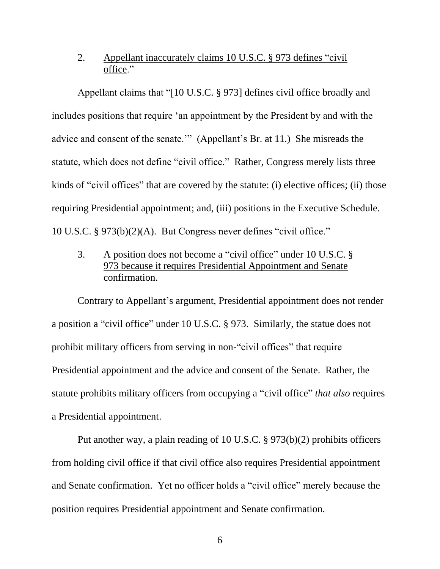# 2. Appellant inaccurately claims 10 U.S.C. § 973 defines "civil" office."

Appellant claims that "[10 U.S.C. § 973] defines civil office broadly and includes positions that require 'an appointment by the President by and with the advice and consent of the senate.'" (Appellant's Br. at 11.) She misreads the statute, which does not define "civil office." Rather, Congress merely lists three kinds of "civil offices" that are covered by the statute: (i) elective offices; (ii) those requiring Presidential appointment; and, (iii) positions in the Executive Schedule. 10 U.S.C. § 973(b)(2)(A). But Congress never defines "civil office."

3. A position does not become a "civil office" under 10 U.S.C. § 973 because it requires Presidential Appointment and Senate confirmation.

Contrary to Appellant's argument, Presidential appointment does not render a position a "civil office" under 10 U.S.C. § 973. Similarly, the statue does not prohibit military officers from serving in non-"civil offices" that require Presidential appointment and the advice and consent of the Senate. Rather, the statute prohibits military officers from occupying a "civil office" *that also* requires a Presidential appointment.

Put another way, a plain reading of 10 U.S.C. § 973(b)(2) prohibits officers from holding civil office if that civil office also requires Presidential appointment and Senate confirmation. Yet no officer holds a "civil office" merely because the position requires Presidential appointment and Senate confirmation.

6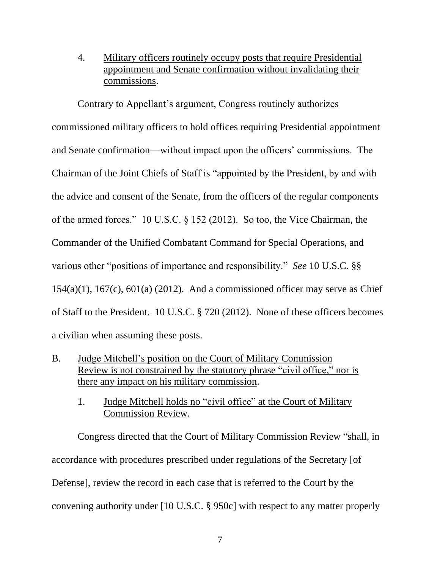4. Military officers routinely occupy posts that require Presidential appointment and Senate confirmation without invalidating their commissions.

Contrary to Appellant's argument, Congress routinely authorizes commissioned military officers to hold offices requiring Presidential appointment and Senate confirmation—without impact upon the officers' commissions. The Chairman of the Joint Chiefs of Staff is "appointed by the President, by and with the advice and consent of the Senate, from the officers of the regular components of the armed forces." 10 U.S.C. § 152 (2012). So too, the Vice Chairman, the Commander of the Unified Combatant Command for Special Operations, and various other "positions of importance and responsibility." *See* 10 U.S.C. §§  $154(a)(1)$ ,  $167(c)$ ,  $601(a)$  (2012). And a commissioned officer may serve as Chief of Staff to the President. 10 U.S.C. § 720 (2012). None of these officers becomes a civilian when assuming these posts.

- B. Judge Mitchell's position on the Court of Military Commission Review is not constrained by the statutory phrase "civil office," nor is there any impact on his military commission.
	- 1. Judge Mitchell holds no "civil office" at the Court of Military Commission Review.

Congress directed that the Court of Military Commission Review "shall, in accordance with procedures prescribed under regulations of the Secretary [of Defense], review the record in each case that is referred to the Court by the convening authority under [10 U.S.C. § 950c] with respect to any matter properly

7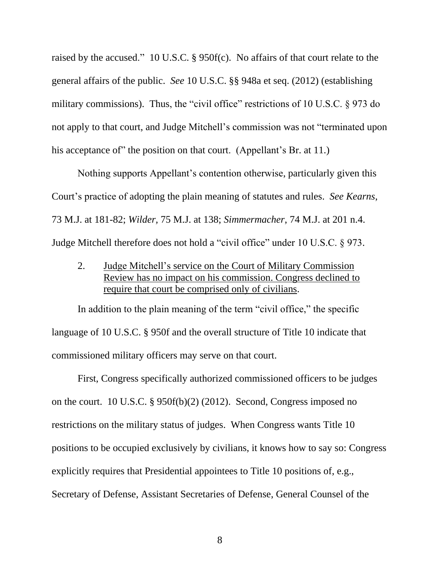raised by the accused." 10 U.S.C. § 950f(c). No affairs of that court relate to the general affairs of the public. *See* 10 U.S.C. §§ 948a et seq. (2012) (establishing military commissions). Thus, the "civil office" restrictions of 10 U.S.C. § 973 do not apply to that court, and Judge Mitchell's commission was not "terminated upon his acceptance of" the position on that court. (Appellant's Br. at 11.)

Nothing supports Appellant's contention otherwise, particularly given this Court's practice of adopting the plain meaning of statutes and rules. *See Kearns*, 73 M.J. at 181-82; *Wilder,* 75 M.J. at 138; *Simmermacher*, 74 M.J. at 201 n.4. Judge Mitchell therefore does not hold a "civil office" under 10 U.S.C. § 973.

2. Judge Mitchell's service on the Court of Military Commission Review has no impact on his commission. Congress declined to require that court be comprised only of civilians.

In addition to the plain meaning of the term "civil office," the specific language of 10 U.S.C. § 950f and the overall structure of Title 10 indicate that commissioned military officers may serve on that court.

First, Congress specifically authorized commissioned officers to be judges on the court. 10 U.S.C. § 950f(b)(2) (2012). Second, Congress imposed no restrictions on the military status of judges. When Congress wants Title 10 positions to be occupied exclusively by civilians, it knows how to say so: Congress explicitly requires that Presidential appointees to Title 10 positions of, e.g., Secretary of Defense, Assistant Secretaries of Defense, General Counsel of the

8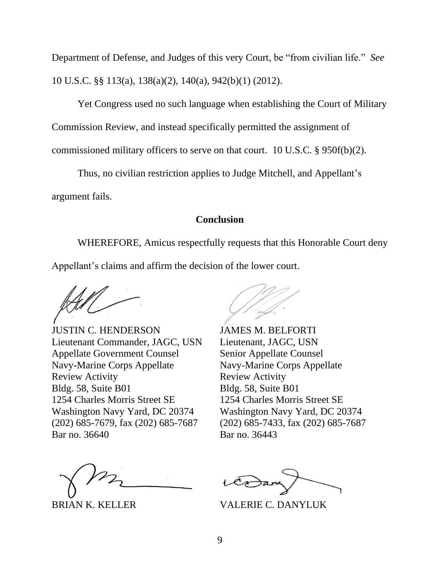Department of Defense, and Judges of this very Court, be "from civilian life." *See* 10 U.S.C. §§ 113(a), 138(a)(2), 140(a), 942(b)(1) (2012).

Yet Congress used no such language when establishing the Court of Military Commission Review, and instead specifically permitted the assignment of commissioned military officers to serve on that court. 10 U.S.C. § 950f(b)(2).

Thus, no civilian restriction applies to Judge Mitchell, and Appellant's argument fails.

## **Conclusion**

WHEREFORE, Amicus respectfully requests that this Honorable Court deny Appellant's claims and affirm the decision of the lower court.

JUSTIN C. HENDERSON JAMES M. BELFORTI Lieutenant Commander, JAGC, USN Lieutenant, JAGC, USN Appellate Government Counsel<br>
Senior Appellate Counsel Navy-Marine Corps Appellate Navy-Marine Corps Appellate Review Activity **Review Activity** Bldg. 58, Suite B01 Bldg. 58, Suite B01 1254 Charles Morris Street SE 1254 Charles Morris Street SE Washington Navy Yard, DC 20374 Washington Navy Yard, DC 20374 (202) 685-7679, fax (202) 685-7687 (202) 685-7433, fax (202) 685-7687 Bar no. 36640 **Bar** no. 36443

BRIAN K. KELLER VALERIE C. DANYLUK